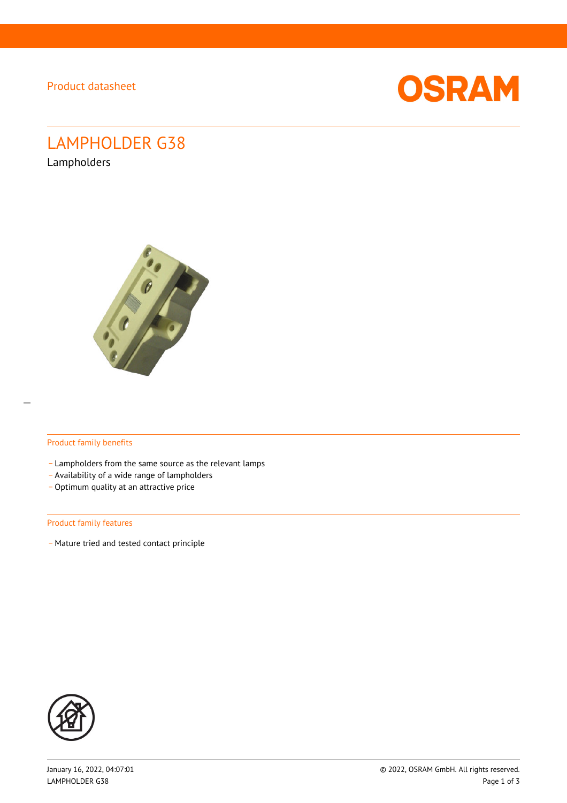Product datasheet



# LAMPHOLDER G38

Lampholders



#### Product family benefits

- Lampholders from the same source as the relevant lamps
- \_ Availability of a wide range of lampholders
- Optimum quality at an attractive price

#### Product family features

- Mature tried and tested contact principle

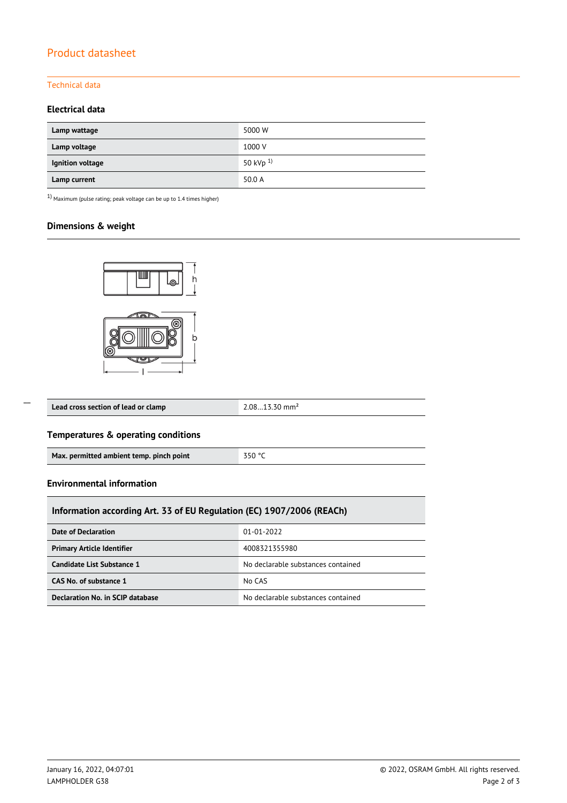# Product datasheet

# Technical data

# **Electrical data**

| Lamp wattage     | 5000 W               |
|------------------|----------------------|
| Lamp voltage     | 1000 V               |
| Ignition voltage | 50 kVp <sup>1)</sup> |
| Lamp current     | 50.0 A               |

 $1)$  Maximum (pulse rating; peak voltage can be up to 1.4 times higher)

# **Dimensions & weight**



| Lead cross section of lead or clamp | mm <sup>2</sup> |
|-------------------------------------|-----------------|
|-------------------------------------|-----------------|

## **Temperatures & operating conditions**

| Max. permitted ambient temp. pinch point | 350 °C |
|------------------------------------------|--------|
|------------------------------------------|--------|

#### **Environmental information**

 $\overline{a}$ 

| Information according Art. 33 of EU Regulation (EC) 1907/2006 (REACh) |                                    |  |  |  |
|-----------------------------------------------------------------------|------------------------------------|--|--|--|
| <b>Date of Declaration</b>                                            | 01-01-2022                         |  |  |  |
| <b>Primary Article Identifier</b>                                     | 4008321355980                      |  |  |  |
| Candidate List Substance 1                                            | No declarable substances contained |  |  |  |
| CAS No. of substance 1                                                | No CAS                             |  |  |  |
| Declaration No. in SCIP database                                      | No declarable substances contained |  |  |  |